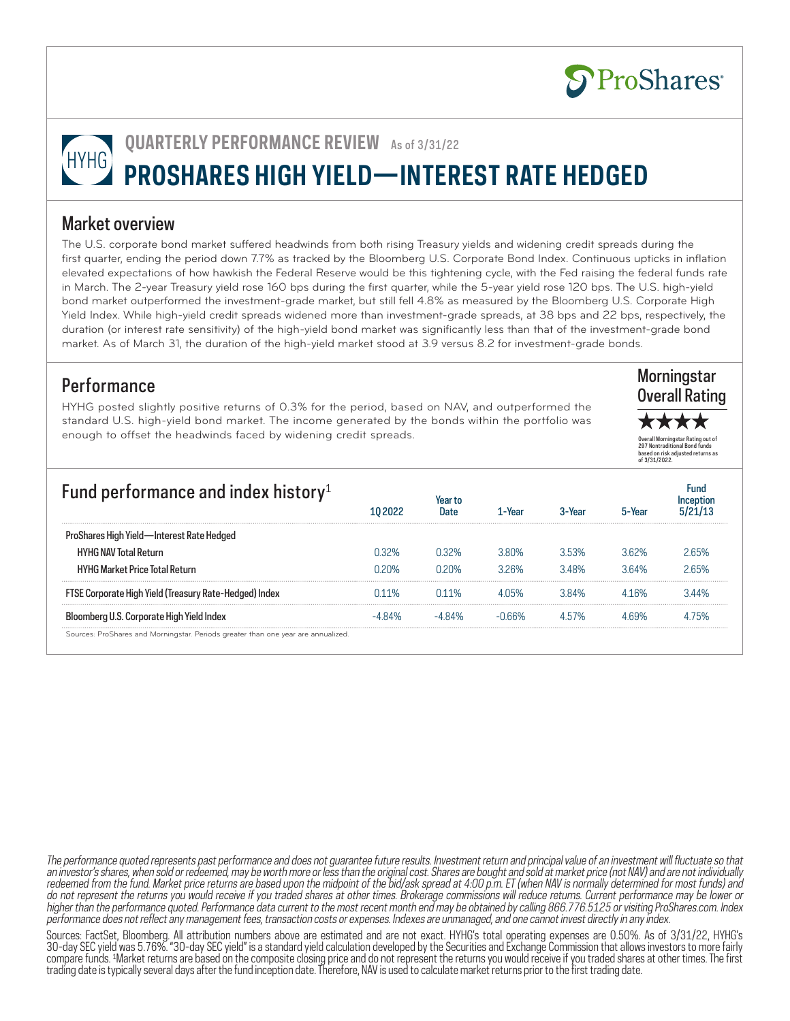

**Morningstar** Overall Rating

Overall Morningstar Rating out of 297 Nontraditional Bond funds based on risk adjusted returns as of 3/31/2022.

\*\*\*\*

# **QUARTERLY PERFORMANCE REVIEW** As of 3/31/22 HYHG **PROSHARES HIGH YIELD—INTEREST RATE HEDGED**

### Market overview

The U.S. corporate bond market suffered headwinds from both rising Treasury yields and widening credit spreads during the first quarter, ending the period down 7.7% as tracked by the Bloomberg U.S. Corporate Bond Index. Continuous upticks in inflation elevated expectations of how hawkish the Federal Reserve would be this tightening cycle, with the Fed raising the federal funds rate in March. The 2-year Treasury yield rose 160 bps during the first quarter, while the 5-year yield rose 120 bps. The U.S. high-yield bond market outperformed the investment-grade market, but still fell 4.8% as measured by the Bloomberg U.S. Corporate High Yield Index. While high-yield credit spreads widened more than investment-grade spreads, at 38 bps and 22 bps, respectively, the duration (or interest rate sensitivity) of the high-yield bond market was significantly less than that of the investment-grade bond market. As of March 31, the duration of the high-yield market stood at 3.9 versus 8.2 for investment-grade bonds.

### **Performance**

HYHG posted slightly positive returns of 0.3% for the period, based on NAV, and outperformed the standard U.S. high-yield bond market. The income generated by the bonds within the portfolio was enough to offset the headwinds faced by widening credit spreads.

| Fund performance and index history <sup>1</sup>                                   | 10 2022 | Date  | -Year | 3-Year  |       |       |
|-----------------------------------------------------------------------------------|---------|-------|-------|---------|-------|-------|
| ProShares High Yield-Interest Rate Hedged                                         |         |       |       |         |       |       |
| <b>HYHG NAV Total Return</b>                                                      | በ 32%   | ገ 32% | 380%  | 353%    | 362%  | 2 65% |
| <b>HYHG Market Price Total Return</b>                                             | በ 2በ%   | ገ 2በ% | 326%  | 348%    | 3 64% | 2 65% |
| FTSE Corporate High Yield (Treasury Rate-Hedged) Index                            | ነ11%    | 11%   | 405%  | 384%    | 416%  | 3 44% |
| Bloomberg U.S. Corporate High Yield Index                                         |         |       | 166%  | 1 5 / % |       |       |
| Sources: ProShares and Morningstar. Periods greater than one year are annualized. |         |       |       |         |       |       |

Sources: FactSet, Bloomberg. All attribution numbers above are estimated and are not exact. HYHG's total operating expenses are 0.50%. As of 3/31/22, HYHG's 30-day SEC yield was 5.76%. "30-day SEC yield" is a standard yield calculation developed by the Securities and Exchange Commission that allows investors to more fairly compare funds. 1 Market returns are based on the composite closing price and do not represent the returns you would receive if you traded shares at other times. The first trading date is typically several days after the fund inception date. Therefore, NAV is used to calculate market returns prior to the first trading date.

The performance quoted represents past performance and does not guarantee future results. Investment return and principal value of an investment will fluctuate so that an investor's shares, when sold or redeemed, may be worth more or less than the original cost. Shares are bought and sold at market price (not NAV) and are not individually redeemed from the fund. Market price returns are based upon the midpoint of the bid/ask spread at 4:00 p.m. ET (when NAV is normally determined for most funds) and do not represent the returns you would receive if you traded shares at other times. Brokerage commissions will reduce returns. Current performance may be lower or higher than the performance quoted. Performance data current to the most recent month end may be obtained by calling 866.776.5125 or visiting ProShares.com. Index performance does not reflect any management fees, transaction costs or expenses. Indexes are unmanaged, and one cannot invest directly in any index.